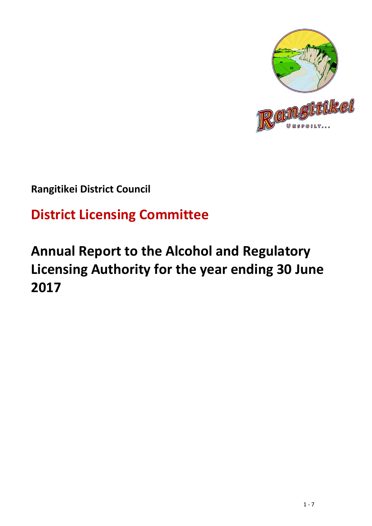

## **Rangitikei District Council**

# **District Licensing Committee**

# **Annual Report to the Alcohol and Regulatory Licensing Authority for the year ending 30 June 2017**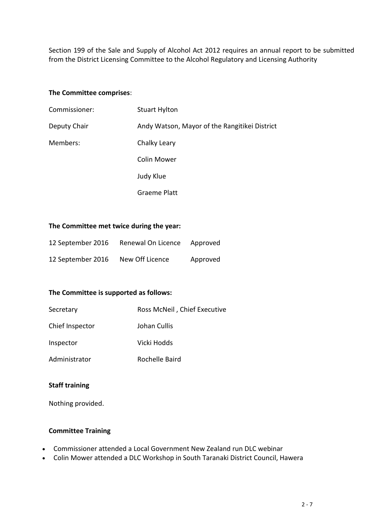Section 199 of the Sale and Supply of Alcohol Act 2012 requires an annual report to be submitted from the District Licensing Committee to the Alcohol Regulatory and Licensing Authority

#### **The Committee comprises**:

| Commissioner: | <b>Stuart Hylton</b>                          |
|---------------|-----------------------------------------------|
| Deputy Chair  | Andy Watson, Mayor of the Rangitikei District |
| Members:      | Chalky Leary                                  |
|               | <b>Colin Mower</b>                            |
|               | Judy Klue                                     |
|               | <b>Graeme Platt</b>                           |

#### **The Committee met twice during the year:**

| 12 September 2016 | Renewal On Licence | Approved |
|-------------------|--------------------|----------|
| 12 September 2016 | New Off Licence    | Approved |

### **The Committee is supported as follows:**

| Secretary       | Ross McNeil, Chief Executive |
|-----------------|------------------------------|
| Chief Inspector | Johan Cullis                 |
| Inspector       | Vicki Hodds                  |
| Administrator   | Rochelle Baird               |

### **Staff training**

Nothing provided.

### **Committee Training**

- Commissioner attended a Local Government New Zealand run DLC webinar
- Colin Mower attended a DLC Workshop in South Taranaki District Council, Hawera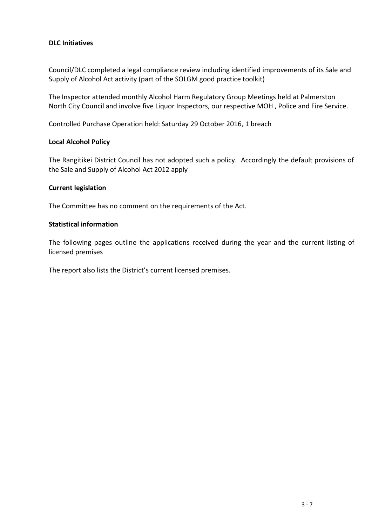### **DLC Initiatives**

Council/DLC completed a legal compliance review including identified improvements of its Sale and Supply of Alcohol Act activity (part of the SOLGM good practice toolkit)

The Inspector attended monthly Alcohol Harm Regulatory Group Meetings held at Palmerston North City Council and involve five Liquor Inspectors, our respective MOH , Police and Fire Service.

Controlled Purchase Operation held: Saturday 29 October 2016, 1 breach

### **Local Alcohol Policy**

The Rangitikei District Council has not adopted such a policy. Accordingly the default provisions of the Sale and Supply of Alcohol Act 2012 apply

#### **Current legislation**

The Committee has no comment on the requirements of the Act.

#### **Statistical information**

The following pages outline the applications received during the year and the current listing of licensed premises

The report also lists the District's current licensed premises.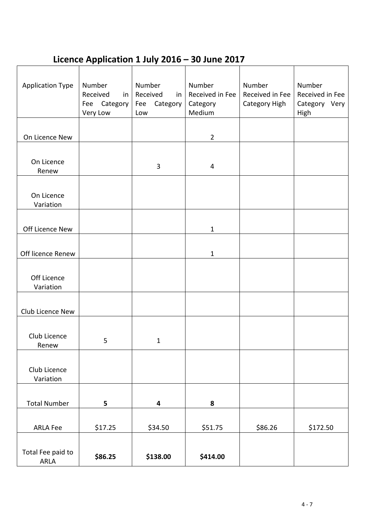### **Licence Application 1 July 2016 – 30 June 2017**

| <b>Application Type</b>   | Number<br>Received<br>in<br>Category<br>Fee<br>Very Low | Number<br>Received<br>in<br>Category<br>Fee<br>Low | Number<br>Received in Fee<br>Category<br>Medium | Number<br>Received in Fee<br>Category High | Number<br>Received in Fee<br>Category Very<br>High |
|---------------------------|---------------------------------------------------------|----------------------------------------------------|-------------------------------------------------|--------------------------------------------|----------------------------------------------------|
|                           |                                                         |                                                    |                                                 |                                            |                                                    |
| On Licence New            |                                                         |                                                    | $\overline{2}$                                  |                                            |                                                    |
| On Licence<br>Renew       |                                                         | $\mathbf{3}$                                       | 4                                               |                                            |                                                    |
| On Licence<br>Variation   |                                                         |                                                    |                                                 |                                            |                                                    |
| Off Licence New           |                                                         |                                                    | $\mathbf{1}$                                    |                                            |                                                    |
| Off licence Renew         |                                                         |                                                    | $\mathbf{1}$                                    |                                            |                                                    |
| Off Licence<br>Variation  |                                                         |                                                    |                                                 |                                            |                                                    |
| Club Licence New          |                                                         |                                                    |                                                 |                                            |                                                    |
| Club Licence<br>Renew     | 5                                                       | $\mathbf{1}$                                       |                                                 |                                            |                                                    |
| Club Licence<br>Variation |                                                         |                                                    |                                                 |                                            |                                                    |
|                           |                                                         |                                                    |                                                 |                                            |                                                    |
| <b>Total Number</b>       | 5                                                       | 4                                                  | 8                                               |                                            |                                                    |
| ARLA Fee                  | \$17.25                                                 | \$34.50                                            | \$51.75                                         | \$86.26                                    | \$172.50                                           |
| Total Fee paid to<br>ARLA | \$86.25                                                 | \$138.00                                           | \$414.00                                        |                                            |                                                    |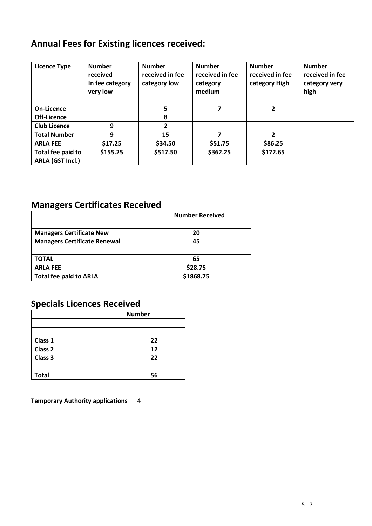### **Annual Fees for Existing licences received:**

| <b>Licence Type</b>                   | <b>Number</b><br>received<br>In fee category<br>very low | <b>Number</b><br>received in fee<br>category low | <b>Number</b><br>received in fee<br>category<br>medium | <b>Number</b><br>received in fee<br>category High | <b>Number</b><br>received in fee<br>category very<br>high |
|---------------------------------------|----------------------------------------------------------|--------------------------------------------------|--------------------------------------------------------|---------------------------------------------------|-----------------------------------------------------------|
| On-Licence                            |                                                          | 5                                                |                                                        | 2                                                 |                                                           |
| Off-Licence                           |                                                          | 8                                                |                                                        |                                                   |                                                           |
| <b>Club Licence</b>                   | 9                                                        | 2                                                |                                                        |                                                   |                                                           |
| <b>Total Number</b>                   | 9                                                        | 15                                               |                                                        | 2                                                 |                                                           |
| <b>ARLA FEE</b>                       | \$17.25                                                  | \$34.50                                          | \$51.75                                                | \$86.25                                           |                                                           |
| Total fee paid to<br>ARLA (GST Incl.) | \$155.25                                                 | \$517.50                                         | \$362.25                                               | \$172.65                                          |                                                           |

### **Managers Certificates Received**

|                                     | <b>Number Received</b> |
|-------------------------------------|------------------------|
|                                     |                        |
| <b>Managers Certificate New</b>     | 20                     |
| <b>Managers Certificate Renewal</b> | 45                     |
|                                     |                        |
| TOTAL                               | 65                     |
| <b>ARLA FEE</b>                     | \$28.75                |
| <b>Total fee paid to ARLA</b>       | \$1868.75              |

### **Specials Licences Received**

|              | <b>Number</b> |
|--------------|---------------|
|              |               |
|              |               |
| Class 1      | 22            |
| Class 2      | 12            |
| Class 3      | 22            |
|              |               |
| <b>Total</b> | 56            |

**Temporary Authority applications 4**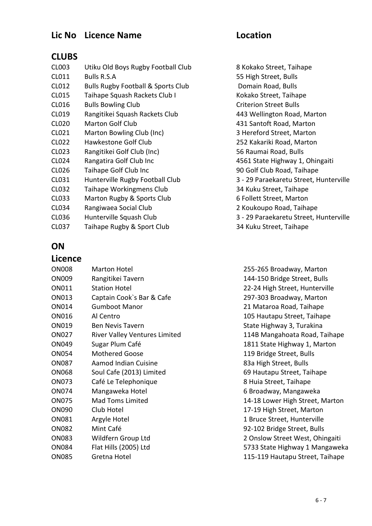### **Lic No Licence Name Location**

### **CLUBS**

CL003 Utiku Old Boys Rugby Football Club 8 Kokako Street, Taihape CL011 Bulls R.S.A 55 High Street, Bulls CL012 Bulls Rugby Football & Sports Club Domain Road, Bulls CL015 Taihape Squash Rackets Club I Kokako Street, Taihape CL016 Bulls Bowling Club Criterion Street Bulls CL019 Rangitikei Squash Rackets Club 443 Wellington Road, Marton CL020 Marton Golf Club 431 Santoft Road, Marton CL021 Marton Bowling Club (Inc) 3 Hereford Street, Marton CL022 Hawkestone Golf Club 252 Kakariki Road, Marton CL023 Rangitikei Golf Club (Inc) 56 Raumai Road, Bulls CL024 Rangatira Golf Club Inc 4561 State Highway 1, Ohingaiti CL026 Taihape Golf Club Inc 90 Golf Club Road, Taihape CL031 Hunterville Rugby Football Club 3 - 29 Paraekaretu Street, Hunterville CL032 Taihape Workingmens Club 34 Kuku Street, Taihape CL033 Marton Rugby & Sports Club 6 Follett Street, Marton CL034 Rangiwaea Social Club 2 Koukoupo Road, Taihape CL036 Hunterville Squash Club 3 - 29 Paraekaretu Street, Hunterville CL037 Taihape Rugby & Sport Club 34 Kuku Street, Taihape

### **ON**

### **Licence** ON008 Marton Hotel 255-265 Broadway, Marton ON009 Rangitikei Tavern 144-150 Bridge Street, Bulls ON011 Station Hotel 22-24 High Street, Hunterville ON013 Captain Cook`s Bar & Cafe 297-303 Broadway, Marton ON014 Gumboot Manor 21 Mataroa Road, Taihape ON016 Al Centro 105 Hautapu Street, Taihape ON019 Ben Nevis Tavern State Highway 3, Turakina ON027 River Valley Ventures Limited 114B Mangahoata Road, Taihape ON049 Sugar Plum Café 1811 State Highway 1, Marton ON054 Mothered Goose 119 Bridge Street, Bulls ON087 Aamod Indian Cuisine 83a High Street, Bulls ON068 Soul Cafe (2013) Limited 69 Hautapu Street, Taihape ON073 Café Le Telephonique 8 Huia Street, Taihape ON074 Mangaweka Hotel 6 Broadway, Mangaweka ON075 Mad Toms Limited 14-18 Lower High Street, Marton ON090 Club Hotel 17-19 High Street, Marton ON081 Argyle Hotel 1 Bruce Street, Hunterville ON082 Mint Café 92-102 Bridge Street, Bulls ON083 Wildfern Group Ltd 2 Onslow Street West, Ohingaiti ON084 Flat Hills (2005) Ltd 5733 State Highway 1 Mangaweka ON085 Gretna Hotel 115-119 Hautapu Street, Taihape